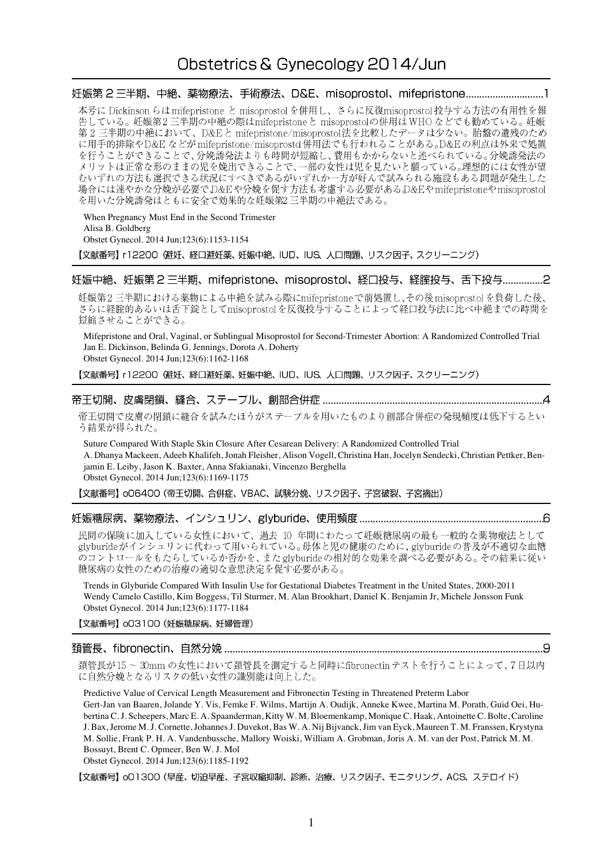# Obstetrics & Gynecology 2014/Jun

妊娠第2三半期、中絶、薬物療法、手術療法、D&E、misoprostol、mifepristone.............................1 本号に Dickinson らは mifepristone と misoprostol を併用し、さらに反復misoprostol 投与する方法の有用性を報 告している。妊娠第2三半期の中絶の際はmifepristoneと misoprostolの併用はWHOなどでも勧めている。妊娠 第2三半期の中絶において、D&Eと mifepristone/misoprostol法を比較したデータは少ない。胎盤の遺残のため に用手的排除やD&E などがmifepristone/misoprostd併用法でも行われることがある。D&Eの利点は外来で処置 を行うことができることで、分娩誘発法よりも時間が短縮し、費用もかからないと述べられている。分娩誘発法の メリットは正常な形のままの児を娩出できることで、一部の女性は児を見たいと願っている。理想的には女性が望 むいずれの方法も選択できる状況にすべきであるがいずれか一方が好んで試みられる施設もある問題が発生した場合には速やかな分娩が必要でD&Eや分娩を促す方法も考慮する必要があるD&Eやmifepristoneやmisoprostol を用いた分娩誘発はともに安全で効果的な妊娠第2三半期の中絶法である。

When Pregnancy Must End in the Second Trimester Alisa B. Goldberg Obstet Gynecol. 2014 Jun;123(6):1153-1154

【文献番号】 r12200 (避妊、経口避妊薬、妊娠中絶、IUD、IUS、人口問題、リスク因子、スクリーニング)

妊娠中絶、妊娠第2三半期、mifepristone、misoprostol、経口投与、経腟投与、舌下投与................2

妊娠第2三半期における薬物による中絶を試みる際にmifepristoneで前処置し、その後misoprostolを負荷した後、 、<br>さらに経腟的あるいは舌下錠としてmisoprostolを反復投与することによって経口投与法に比べ中絶までの時間を 短縮させることができる。

Mifepristone and Oral, Vaginal, or Sublingual Misoprostol for Second-Trimester Abortion: A Randomized Controlled Trial Jan E. Dickinson, Belinda G. Jennings, Dorota A. Doherty Obstet Gynecol. 2014 Jun;123(6):1162-1168

【文献番号】 r12200 (避妊、経口避妊薬、妊娠中絶、IUD、IUS、人口問題、リスク因子、スクリーニング)

帝王切開で皮膚の閉鎖に縫合を試みたほうがステープルを用いたものより創部合併症の発現頻度は低下するとい う結果が得られた。

Suture Compared With Staple Skin Closure After Cesarean Delivery: A Randomized Controlled Trial A. Dhanya Mackeen, Adeeb Khalifeh, Jonah Fleisher, Alison Vogell, Christina Han, Jocelyn Sendecki, Christian Pettker, Benjamin E. Leiby, Jason K. Baxter, Anna Sfakianaki, Vincenzo Berghella Obstet Gynecol. 2014 Jun;123(6):1169-1175

【文献番号】 oO6400 (帝王切開、合併症、VBAC、試験分娩、リスク因子、子宮破裂、子宮摘出)

## 

民間の保険に加入している女性において、過去 10 年間にわたって妊娠糖尿病の最も一般的な薬物療法として glyburideがインシュリンに代わって用いられている。母体と児の健康のために、glyburideの普及が不適切な血糖 のコントロールをもたらしているか否かを、また glyburideの相対的な効果を調べる必要がある。その結果に従い 糖尿病の女性のための治療の適切な意思決定を促す必要がある。

Trends in Glyburide Compared With Insulin Use for Gestational Diabetes Treatment in the United States, 2000-2011 Wendy Camelo Castillo, Kim Boggess, Til Sturmer, M. Alan Brookhart, Daniel K. Benjamin Jr, Michele Jonsson Funk Obstet Gynecol. 2014 Jun;123(6):1177-1184

【文献番号】 003100 (妊娠糖尿病、妊婦管理)

## 

頚管長が15~30mmの女性において頚管長を測定すると同時にfibronectinテストを行うことによって、7日以内 に自然分娩となるリスクの低い女性の識別能は向上した。

Predictive Value of Cervical Length Measurement and Fibronectin Testing in Threatened Preterm Labor Gert-Jan van Baaren, Jolande Y. Vis, Femke F. Wilms, Martijn A. Oudijk, Anneke Kwee, Martina M. Porath, Guid Oei, Hubertina C. J. Scheepers, Marc E. A. Spaanderman, Kitty W. M. Bloemenkamp, Monique C. Haak, Antoinette C. Bolte, Caroline J. Bax, Jerome M. J. Cornette, Johannes J. Duvekot, Bas W. A. Nij Bijvanck, Jim van Eyck, Maureen T. M. Franssen, Krystyna M. Sollie, Frank P. H. A. Vandenbussche, Mallory Woiski, William A. Grobman, Joris A. M. van der Post, Patrick M. M. Bossuyt, Brent C. Opmeer, Ben W. J. Mol

Obstet Gynecol. 2014 Jun;123(6):1185-1192

【文献番号】 o01300 (早産、切迫早産、子宮収縮抑制、診断、治療、リスク因子、モニタリング、ACS、ステロイド)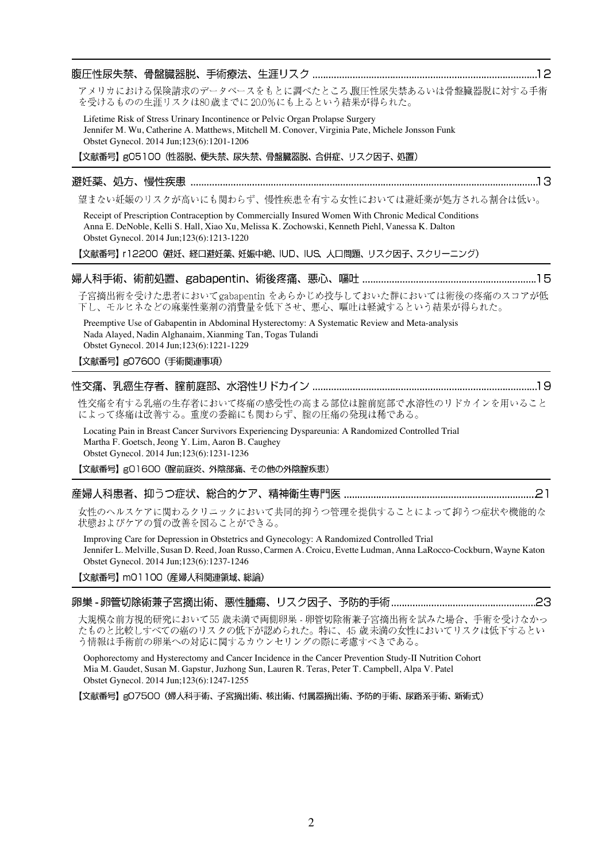| アメリカにおける保険請求のデータベースをもとに調べたところ、腹圧性尿失禁あるいは骨盤臓器脱に対する手術<br>を受けるものの生涯リスクは80歳までに20.0%にも上るという結果が得られた。                                                                                                                                                                   |  |
|------------------------------------------------------------------------------------------------------------------------------------------------------------------------------------------------------------------------------------------------------------------|--|
| Lifetime Risk of Stress Urinary Incontinence or Pelvic Organ Prolapse Surgery<br>Jennifer M. Wu, Catherine A. Matthews, Mitchell M. Conover, Virginia Pate, Michele Jonsson Funk<br>Obstet Gynecol. 2014 Jun;123(6):1201-1206                                    |  |
| 【文献番号】g05100 (性器脱、便失禁、尿失禁、骨盤臓器脱、合併症、リスク因子、処置)                                                                                                                                                                                                                    |  |
| 避妊薬、処方、慢性疾患                                                                                                                                                                                                                                                      |  |
| 望まない妊娠のリスクが高いにも関わらず、慢性疾患を有する女性においては避妊薬が処方される割合は低い。                                                                                                                                                                                                               |  |
| Receipt of Prescription Contraception by Commercially Insured Women With Chronic Medical Conditions<br>Anna E. DeNoble, Kelli S. Hall, Xiao Xu, Melissa K. Zochowski, Kenneth Piehl, Vanessa K. Dalton<br>Obstet Gynecol. 2014 Jun;123(6):1213-1220              |  |
| 【文献番号】 r12200 健妊、経口避妊薬、妊娠中絶、IUD、IUS、人口問題、リスク因子、スクリーニング)                                                                                                                                                                                                          |  |
|                                                                                                                                                                                                                                                                  |  |
| 子宮摘出術を受けた患者においてgabapentin をあらかじめ投与しておいた群においては術後の疼痛のスコアが低<br>下し、モルヒネなどの麻薬性薬剤の消費量を低下させ、悪心、嘔吐は軽減するという結果が得られた。                                                                                                                                                       |  |
| Preemptive Use of Gabapentin in Abdominal Hysterectomy: A Systematic Review and Meta-analysis<br>Nada Alayed, Nadin Alghanaim, Xianming Tan, Togas Tulandi<br>Obstet Gynecol. 2014 Jun;123(6):1221-1229                                                          |  |
| 【文献番号】gO7600 (手術関連事項)                                                                                                                                                                                                                                            |  |
|                                                                                                                                                                                                                                                                  |  |
| 性交痛を有する乳癌の生存者において疼痛の感受性の高まる部位は腟前庭部で水溶性のリドカインを用いること<br>によって疼痛は改善する。重度の委縮にも関わらず、腟の圧痛の発現は稀である。                                                                                                                                                                      |  |
| Locating Pain in Breast Cancer Survivors Experiencing Dyspareunia: A Randomized Controlled Trial<br>Martha F. Goetsch, Jeong Y. Lim, Aaron B. Caughey<br>Obstet Gynecol. 2014 Jun;123(6):1231-1236                                                               |  |
| 【文献番号】gO1600 (腟前庭炎、外陰部痛、その他の外陰腟疾患)                                                                                                                                                                                                                               |  |
|                                                                                                                                                                                                                                                                  |  |
| 女性のヘルスケアに関わるクリニックにおいて共同的抑うつ管理を提供することによって抑うつ症状や機能的な<br>状態およびケアの質の改善を図ることができる。                                                                                                                                                                                     |  |
| Improving Care for Depression in Obstetrics and Gynecology: A Randomized Controlled Trial<br>Jennifer L. Melville, Susan D. Reed, Joan Russo, Carmen A. Croicu, Evette Ludman, Anna LaRocco-Cockburn, Wayne Katon<br>Obstet Gynecol. 2014 Jun; 123(6): 1237-1246 |  |
| 【文献番号】 m01100 (産婦人科関連領域、総論)                                                                                                                                                                                                                                      |  |
|                                                                                                                                                                                                                                                                  |  |
| 大規模な前方視的研究において55 歳未満で両側卵巣 - 卵管切除術兼子宮摘出術を試みた場合、手術を受けなかっ                                                                                                                                                                                                           |  |

たものと比較しすべての癌のリスクの低下が認められた。特に、45歳未満の女性においてリスクは低下するとい う情報は手術前の卵巣への対応に関するカウンセリングの際に考慮すべきである。 Oophorectomy and Hysterectomy and Cancer Incidence in the Cancer Prevention Study-II Nutrition Cohort

Mia M. Gaudet, Susan M. Gapstur, Juzhong Sun, Lauren R. Teras, Peter T. Campbell, Alpa V. Patel Obstet Gynecol. 2014 Jun;123(6):1247-1255

【文献番号】gO7500 (婦人科手術、子宮摘出術、核出術、付属器摘出術、予防的手術、尿路系手術、新術式)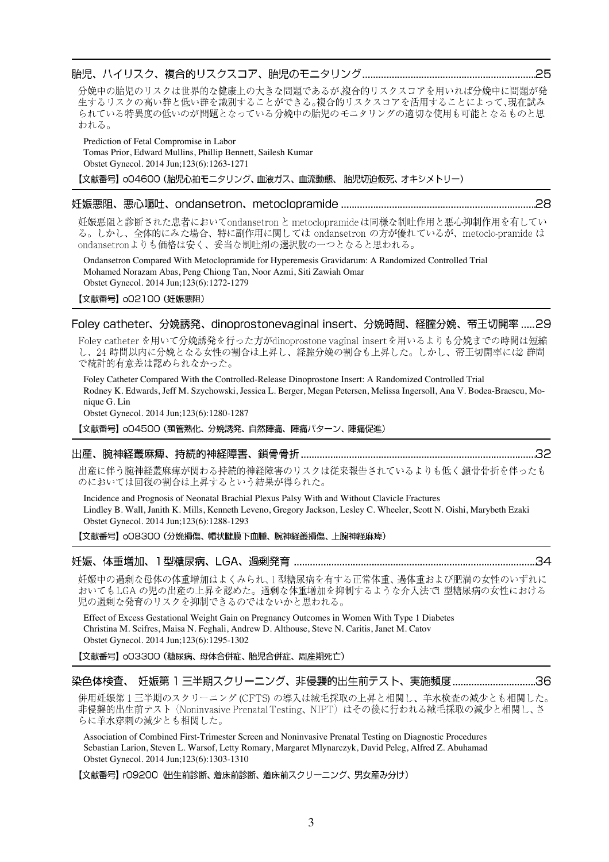#### 

分娩中の胎児のリスクは世界的な健康上の大きな問題であるが、複合的リスクスコアを用いれば分娩中に問題が発 生するリスクの高い群と低い群を識別することができる。複合的リスクスコアを活用することによって、現在試み られている特異度の低いのが問題となっている分娩中の胎児のモニタリングの適切な使用も可能となるものと思 われる。

Prediction of Fetal Compromise in Labor

Tomas Prior, Edward Mullins, Phillip Bennett, Sailesh Kumar Obstet Gynecol. 2014 Jun;123(6):1263-1271 【文献番号】 oO4600 (胎児心拍モニタリング、血液ガス、血流動態、 胎児切迫仮死、オキシメトリー)

## 

妊娠悪阻と診断された患者においてondansetron と metoclopramideは同様な制吐作用と悪心抑制作用を有してい る。しかし、全体的にみた場合、特に副作用に関しては ondansetron の方が優れているが、metoclo-pramide は ondansetronよりも価格は安く、妥当な制吐剤の選択肢の一つとなると思われる。

Ondansetron Compared With Metoclopramide for Hyperemesis Gravidarum: A Randomized Controlled Trial Mohamed Norazam Abas, Peng Chiong Tan, Noor Azmi, Siti Zawiah Omar Obstet Gynecol. 2014 Jun;123(6):1272-1279

【文献番号】 oO2100 (妊娠悪阻)

## Foley catheter、分娩誘発、dinoprostonevaginal insert、分娩時間、経腟分娩、帝王切開率 ..... 29

Foley catheter を用いて分娩誘発を行った方がdinoprostone vaginal insert を用いるよりも分娩までの時間は短縮 し、24 時間以内に分娩となる女性の割合は上昇し、経腟分娩の割合も上昇した。しかし、帝王切開率には2 群間 で統計的有意差は認められなかった。

Foley Catheter Compared With the Controlled-Release Dinoprostone Insert: A Randomized Controlled Trial Rodney K. Edwards, Jeff M. Szychowski, Jessica L. Berger, Megan Petersen, Melissa Ingersoll, Ana V. Bodea-Braescu, Monique G. Lin Obstet Gynecol. 2014 Jun;123(6):1280-1287

【文献番号】 004500 (頚管熟化、分娩誘発、自然陣痛、陣痛パターン、陣痛促進)

#### 

出産に伴う腕神経叢麻痺が関わる持続的神経障害のリスクは従来報告されているよりも低く鎖骨骨折を伴ったも のにおいては回復の割合は上昇するという結果が得られた。

Incidence and Prognosis of Neonatal Brachial Plexus Palsy With and Without Clavicle Fractures Lindley B. Wall, Janith K. Mills, Kenneth Leveno, Gregory Jackson, Lesley C. Wheeler, Scott N. Oishi, Marybeth Ezaki Obstet Gynecol. 2014 Jun;123(6):1288-1293

【文献番号】 008300 (分娩損傷、帽状腱膜下血腫、腕神経叢損傷、上腕神経麻痺)

#### 

妊娠中の過剰な母体の体重増加はよくみられ、1型糖尿病を有する正常体重、過体重および肥満の女性のいずれに おいてもLGAの児の出産の上昇を認めた。過剰な体重増加を抑制するような介入法で1型糖尿病の女性における 児の過剰な発育のリスクを抑制できるのではないかと思われる。

Effect of Excess Gestational Weight Gain on Pregnancy Outcomes in Women With Type 1 Diabetes Christina M. Scifres, Maisa N. Feghali, Andrew D. Althouse, Steve N. Caritis, Janet M. Catov Obstet Gynecol. 2014 Jun;123(6):1295-1302

【文献番号】 003300 (糖尿病、母体合併症、胎児合併症、周産期死亡)

## 染色体検査、 妊娠第 1 三半期スクリーニング、非侵襲的出生前テスト、実施頻度 ...................................36

併用妊娠第1三半期のスクリーニング (CFTS) の導入は絨毛採取の上昇と相関し、羊水検査の減少とも相関した。 非侵襲的出生前テスト (Noninvasive Prenatal Testing、NIPT) はその後に行われる絨毛採取の減少と相関し、さ らに羊水穿刺の減少とも相関した。

Association of Combined First-Trimester Screen and Noninvasive Prenatal Testing on Diagnostic Procedures Sebastian Larion, Steven L. Warsof, Letty Romary, Margaret Mlynarczyk, David Peleg, Alfred Z. Abuhamad Obstet Gynecol. 2014 Jun;123(6):1303-1310

【文献番号】 rO9200 (出生前診断、着床前診断、着床前スクリーニング、男女産み分け)